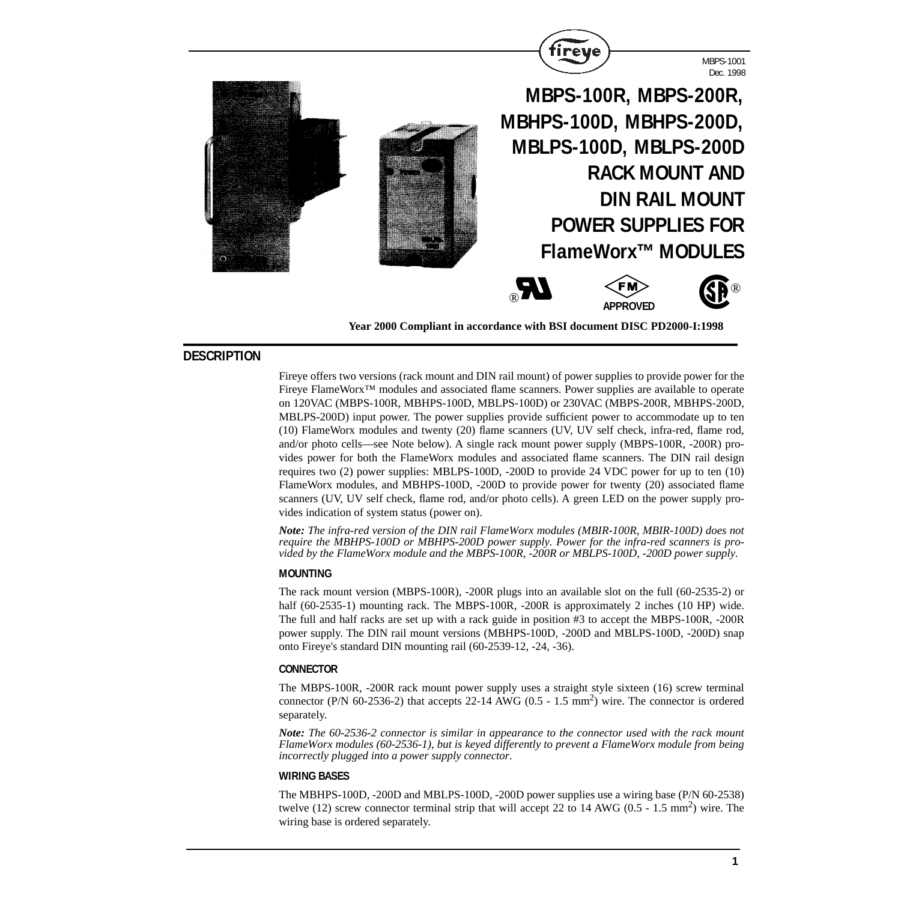

**Year 2000 Compliant in accordance with BSI document DISC PD2000-I:1998**

# **DESCRIPTION**

Fireye offers two versions (rack mount and DIN rail mount) of power supplies to provide power for the Fireye FlameWorx™ modules and associated flame scanners. Power supplies are available to operate on 120VAC (MBPS-100R, MBHPS-100D, MBLPS-100D) or 230VAC (MBPS-200R, MBHPS-200D, MBLPS-200D) input power. The power supplies provide sufficient power to accommodate up to ten (10) FlameWorx modules and twenty (20) flame scanners (UV, UV self check, infra-red, flame rod, and/or photo cells—see Note below). A single rack mount power supply (MBPS-100R, -200R) provides power for both the FlameWorx modules and associated flame scanners. The DIN rail design requires two (2) power supplies: MBLPS-100D, -200D to provide 24 VDC power for up to ten (10) FlameWorx modules, and MBHPS-100D, -200D to provide power for twenty (20) associated flame scanners (UV, UV self check, flame rod, and/or photo cells). A green LED on the power supply provides indication of system status (power on).

*Note: The infra-red version of the DIN rail FlameWorx modules (MBIR-100R, MBIR-100D) does not require the MBHPS-100D or MBHPS-200D power supply. Power for the infra-red scanners is provided by the FlameWorx module and the MBPS-100R, -200R or MBLPS-100D, -200D power supply.*

#### **MOUNTING**

The rack mount version (MBPS-100R), -200R plugs into an available slot on the full (60-2535-2) or half (60-2535-1) mounting rack. The MBPS-100R, -200R is approximately 2 inches (10 HP) wide. The full and half racks are set up with a rack guide in position #3 to accept the MBPS-100R, -200R power supply. The DIN rail mount versions (MBHPS-100D, -200D and MBLPS-100D, -200D) snap onto Fireye's standard DIN mounting rail (60-2539-12, -24, -36).

#### **CONNECTOR**

The MBPS-100R, -200R rack mount power supply uses a straight style sixteen (16) screw terminal connector (P/N 60-2536-2) that accepts 22-14 AWG ( $0.5 - 1.5$  mm<sup>2</sup>) wire. The connector is ordered separately.

*Note: The 60-2536-2 connector is similar in appearance to the connector used with the rack mount FlameWorx modules (60-2536-1), but is keyed differently to prevent a FlameWorx module from being incorrectly plugged into a power supply connector.*

#### **WIRING BASES**

The MBHPS-100D, -200D and MBLPS-100D, -200D power supplies use a wiring base (P/N 60-2538) twelve (12) screw connector terminal strip that will accept 22 to 14 AWG (0.5 - 1.5 mm<sup>2</sup>) wire. The wiring base is ordered separately.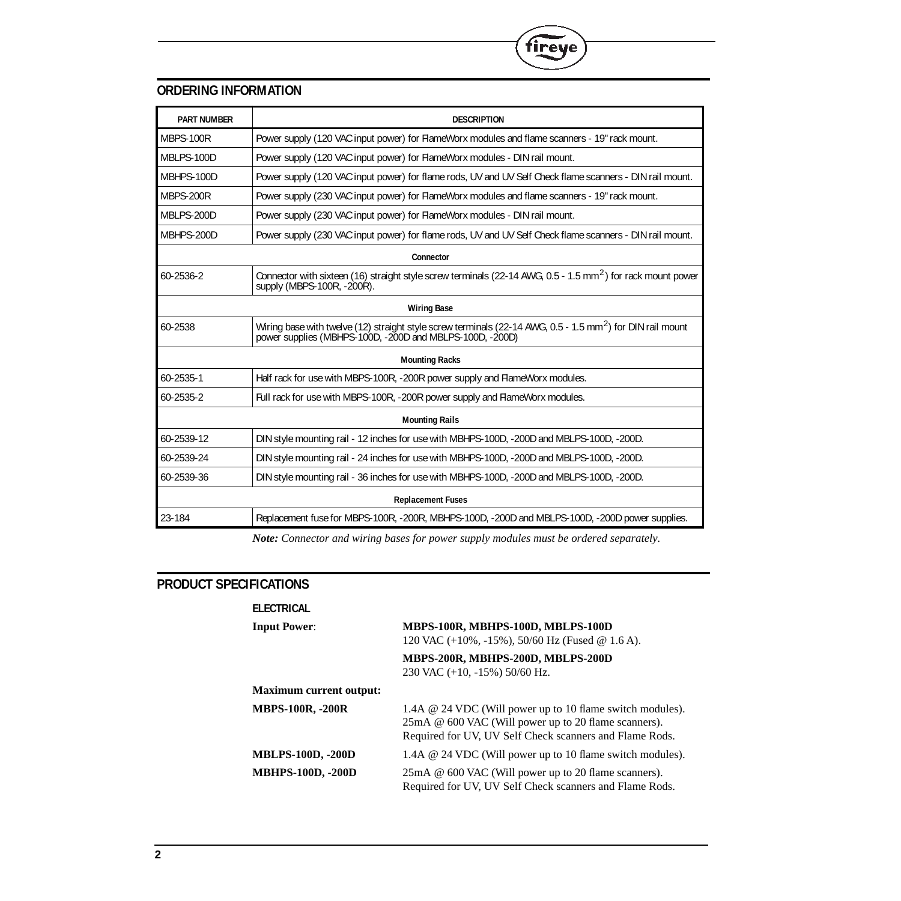

| <b>PART NUMBER</b>       | <b>DESCRIPTION</b>                                                                                                                                                                 |  |
|--------------------------|------------------------------------------------------------------------------------------------------------------------------------------------------------------------------------|--|
| MBPS-100R                | Power supply (120 VAC input power) for FlameWorx modules and flame scanners - 19" rack mount.                                                                                      |  |
| MBLPS-100D               | Power supply (120 VAC input power) for FlameWorx modules - DIN rail mount.                                                                                                         |  |
| MBHPS-100D               | Power supply (120 VAC input power) for flame rods, UV and UV Self Check flame scanners - DIN rail mount.                                                                           |  |
| MBPS-200R                | Power supply (230 VAC input power) for FlameWorx modules and flame scanners - 19" rack mount.                                                                                      |  |
| MBLPS-200D               | Power supply (230 VAC input power) for FlameWorx modules - DIN rail mount.                                                                                                         |  |
| MBHPS-200D               | Power supply (230 VAC input power) for flame rods, UV and UV Self Check flame scanners - DIN rail mount.                                                                           |  |
| Connector                |                                                                                                                                                                                    |  |
| 60-2536-2                | Connector with sixteen (16) straight style screw terminals (22-14 AWG, 0.5 - 1.5 mm <sup>2</sup> ) for rack mount power<br>supply (MBPS-100R, -200R).                              |  |
| <b>Wiring Base</b>       |                                                                                                                                                                                    |  |
| 60-2538                  | Wiring base with twelve (12) straight style screw terminals (22-14 AWG, 0.5 - 1.5 mm <sup>2</sup> ) for DIN rail mount<br>power supplies (MBHPS-100D, -200D and MBLPS-100D, -200D) |  |
|                          | <b>Mounting Racks</b>                                                                                                                                                              |  |
| 60-2535-1                | Half rack for use with MBPS-100R, -200R power supply and FlameWorx modules.                                                                                                        |  |
| 60-2535-2                | Full rack for use with MBPS-100R, -200R power supply and FlameWorx modules.                                                                                                        |  |
| <b>Mounting Rails</b>    |                                                                                                                                                                                    |  |
| 60-2539-12               | DIN style mounting rail - 12 inches for use with MBHPS-100D, -200D and MBLPS-100D, -200D.                                                                                          |  |
| 60-2539-24               | DIN style mounting rail - 24 inches for use with MBHPS-100D, -200D and MBLPS-100D, -200D.                                                                                          |  |
| 60-2539-36               | DIN style mounting rail - 36 inches for use with MBHPS-100D, -200D and MBLPS-100D, -200D.                                                                                          |  |
| <b>Replacement Fuses</b> |                                                                                                                                                                                    |  |
| 23-184                   | Replacement fuse for MBPS-100R, -200R, MBHPS-100D, -200D and MBLPS-100D, -200D power supplies.                                                                                     |  |

 $^\circledR$ 

fireye

*Note: Connector and wiring bases for power supply modules must be ordered separately.*

# **PRODUCT SPECIFICATIONS**

| <b>ELECTRICAL</b>              |                                                                                                                                                                              |
|--------------------------------|------------------------------------------------------------------------------------------------------------------------------------------------------------------------------|
| <b>Input Power:</b>            | MBPS-100R, MBHPS-100D, MBLPS-100D<br>120 VAC $(+10\%,-15\%)$ , 50/60 Hz (Fused @ 1.6 A).                                                                                     |
|                                | MBPS-200R, MBHPS-200D, MBLPS-200D<br>230 VAC $(+10, -15\%)$ 50/60 Hz.                                                                                                        |
| <b>Maximum current output:</b> |                                                                                                                                                                              |
| <b>MBPS-100R, -200R</b>        | 1.4A @ 24 VDC (Will power up to 10 flame switch modules).<br>25mA @ 600 VAC (Will power up to 20 flame scanners).<br>Required for UV, UV Self Check scanners and Flame Rods. |
| <b>MBLPS-100D, -200D</b>       | 1.4A @ 24 VDC (Will power up to 10 flame switch modules).                                                                                                                    |
| <b>MBHPS-100D, -200D</b>       | 25mA @ 600 VAC (Will power up to 20 flame scanners).<br>Required for UV, UV Self Check scanners and Flame Rods.                                                              |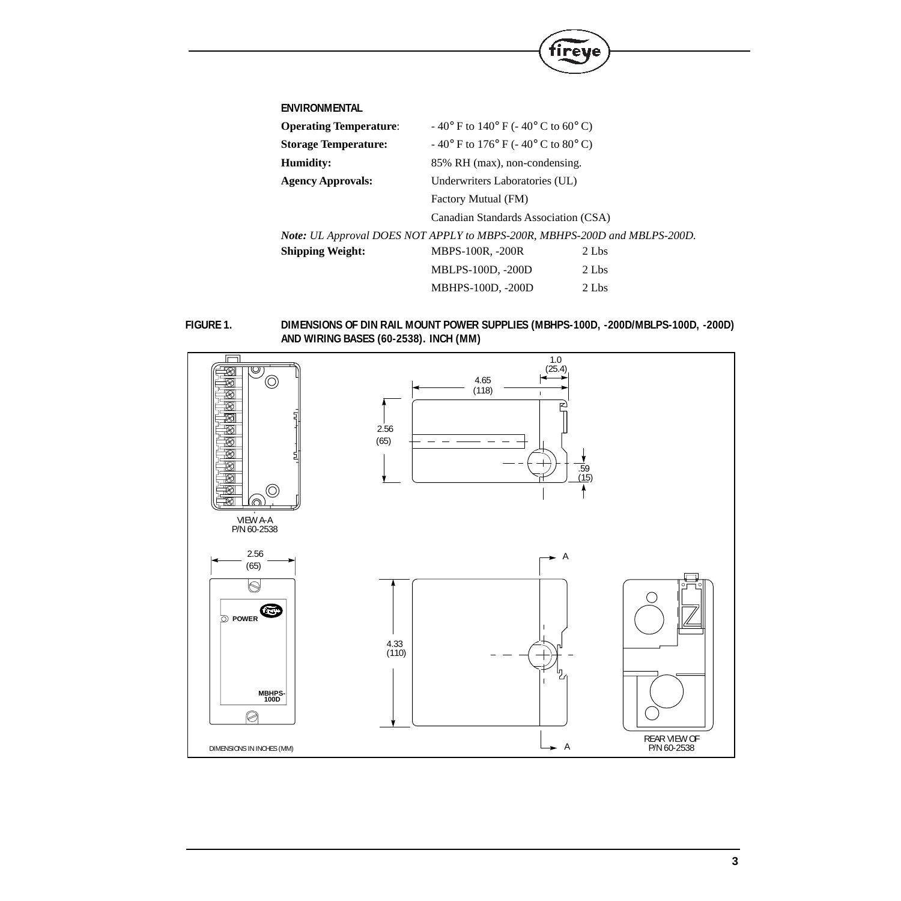| <b>ENVIRONMENTAL</b>                                                      |                                                                |       |
|---------------------------------------------------------------------------|----------------------------------------------------------------|-------|
| <b>Operating Temperature:</b>                                             | $-40^{\circ}$ F to $140^{\circ}$ F ( $-40^{\circ}$ C to 60° C) |       |
| <b>Storage Temperature:</b>                                               | $-40^{\circ}$ F to 176° F (-40° C to 80° C)                    |       |
| Humidity:                                                                 | 85% RH (max), non-condensing.                                  |       |
| <b>Agency Approvals:</b>                                                  | Underwriters Laboratories (UL)                                 |       |
|                                                                           | Factory Mutual (FM)                                            |       |
|                                                                           | Canadian Standards Association (CSA)                           |       |
| Note: UL Approval DOES NOT APPLY to MBPS-200R, MBHPS-200D and MBLPS-200D. |                                                                |       |
| <b>Shipping Weight:</b>                                                   | <b>MBPS-100R, -200R</b>                                        | 2 Lbs |
|                                                                           | MBLPS-100D, -200D                                              | 2 Lbs |
|                                                                           | <b>MBHPS-100D, -200D</b>                                       | 2 Lbs |

 $^{\circledR}$ 

fireye

**FIGURE 1. DIMENSIONS OF DIN RAIL MOUNT POWER SUPPLIES (MBHPS-100D, -200D/MBLPS-100D, -200D) AND WIRING BASES (60-2538). INCH (MM)**

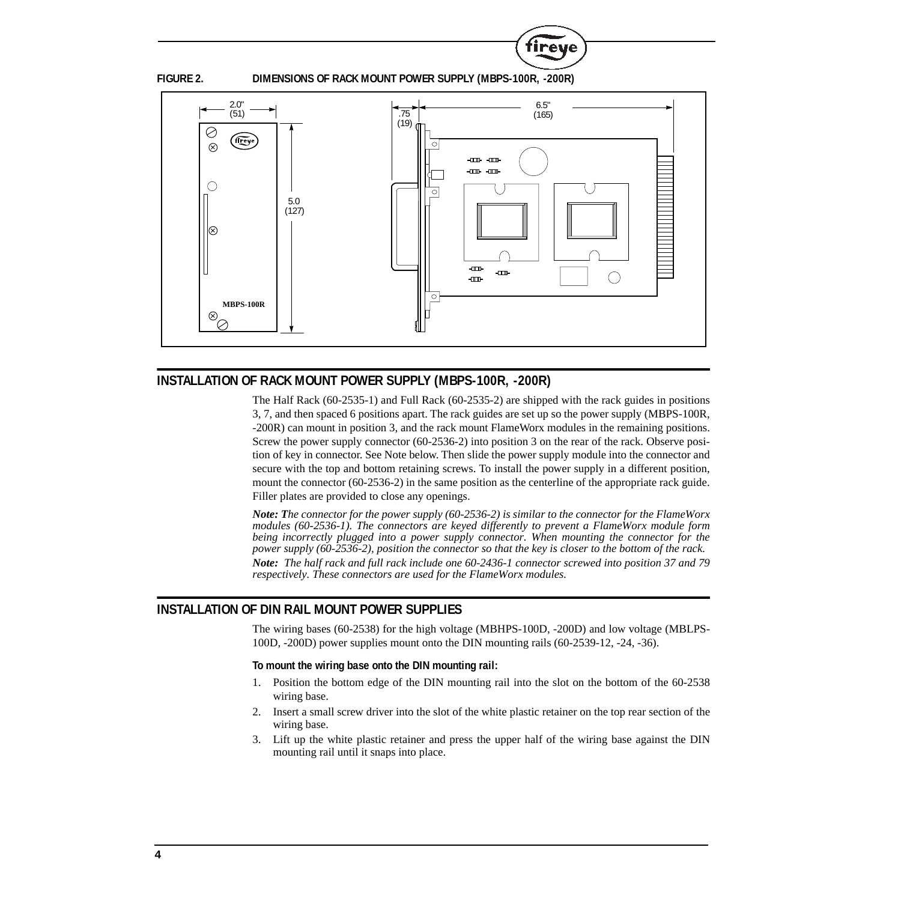

**FIGURE 2. DIMENSIONS OF RACK MOUNT POWER SUPPLY (MBPS-100R, -200R)**

**R** 

ireve



# **INSTALLATION OF RACK MOUNT POWER SUPPLY (MBPS-100R, -200R)**

The Half Rack (60-2535-1) and Full Rack (60-2535-2) are shipped with the rack guides in positions 3, 7, and then spaced 6 positions apart. The rack guides are set up so the power supply (MBPS-100R, -200R) can mount in position 3, and the rack mount FlameWorx modules in the remaining positions. Screw the power supply connector (60-2536-2) into position 3 on the rear of the rack. Observe position of key in connector. See Note below. Then slide the power supply module into the connector and secure with the top and bottom retaining screws. To install the power supply in a different position, mount the connector (60-2536-2) in the same position as the centerline of the appropriate rack guide. Filler plates are provided to close any openings.

*Note: The connector for the power supply (60-2536-2) is similar to the connector for the FlameWorx modules (60-2536-1). The connectors are keyed differently to prevent a FlameWorx module form being incorrectly plugged into a power supply connector. When mounting the connector for the power supply (60-2536-2), position the connector so that the key is closer to the bottom of the rack. Note: The half rack and full rack include one 60-2436-1 connector screwed into position 37 and 79 respectively. These connectors are used for the FlameWorx modules.*

# **INSTALLATION OF DIN RAIL MOUNT POWER SUPPLIES**

The wiring bases (60-2538) for the high voltage (MBHPS-100D, -200D) and low voltage (MBLPS-100D, -200D) power supplies mount onto the DIN mounting rails (60-2539-12, -24, -36).

#### **To mount the wiring base onto the DIN mounting rail:**

- 1. Position the bottom edge of the DIN mounting rail into the slot on the bottom of the 60-2538 wiring base.
- 2. Insert a small screw driver into the slot of the white plastic retainer on the top rear section of the wiring base.
- 3. Lift up the white plastic retainer and press the upper half of the wiring base against the DIN mounting rail until it snaps into place.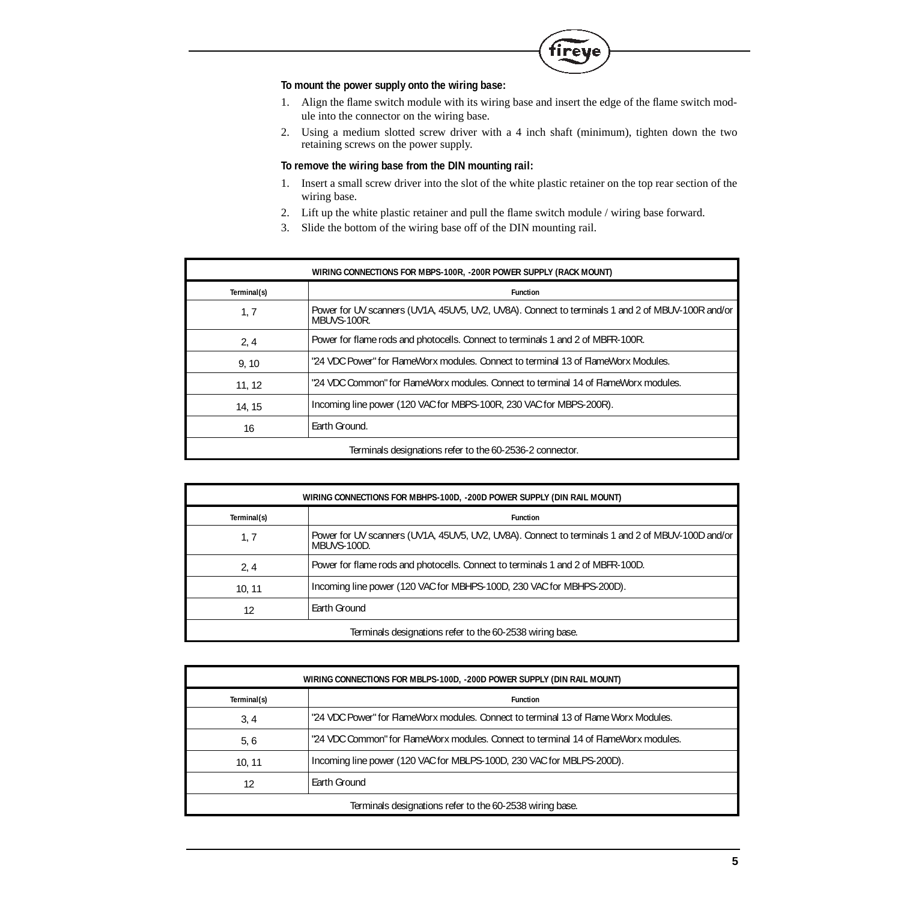

## **To mount the power supply onto the wiring base:**

- 1. Align the flame switch module with its wiring base and insert the edge of the flame switch module into the connector on the wiring base.
- 2. Using a medium slotted screw driver with a 4 inch shaft (minimum), tighten down the two retaining screws on the power supply.

## **To remove the wiring base from the DIN mounting rail:**

- 1. Insert a small screw driver into the slot of the white plastic retainer on the top rear section of the wiring base.
- 2. Lift up the white plastic retainer and pull the flame switch module / wiring base forward.
- 3. Slide the bottom of the wiring base off of the DIN mounting rail.

| WIRING CONNECTIONS FOR MBPS-100R, -200R POWER SUPPLY (RACK MOUNT) |                                                                                                                 |  |
|-------------------------------------------------------------------|-----------------------------------------------------------------------------------------------------------------|--|
| Terminal(s)                                                       | <b>Function</b>                                                                                                 |  |
| 1, 7                                                              | Power for UV scanners (UV1A, 45UV5, UV2, UV8A). Connect to terminals 1 and 2 of MBUV-100R and/or<br>MBUVS-100R. |  |
| 2, 4                                                              | Power for flame rods and photocells. Connect to terminals 1 and 2 of MBFR-100R.                                 |  |
| 9.10                                                              | "24 VDC Power" for FlameWorx modules. Connect to terminal 13 of FlameWorx Modules.                              |  |
| 11, 12                                                            | "24 VDC Common" for FlameWorx modules. Connect to terminal 14 of FlameWorx modules.                             |  |
| 14, 15                                                            | Incoming line power (120 VAC for MBPS-100R, 230 VAC for MBPS-200R).                                             |  |
| 16                                                                | Earth Ground.                                                                                                   |  |
| Terminals designations refer to the 60-2536-2 connector.          |                                                                                                                 |  |

| WIRING CONNECTIONS FOR MBHPS-100D, -200D POWER SUPPLY (DIN RAIL MOUNT) |                                                                                                                 |  |
|------------------------------------------------------------------------|-----------------------------------------------------------------------------------------------------------------|--|
| Terminal(s)                                                            | <b>Function</b>                                                                                                 |  |
| 1, 7                                                                   | Power for UV scanners (UV1A, 45UV5, UV2, UV8A). Connect to terminals 1 and 2 of MBUV-100D and/or<br>MBUVS-100D. |  |
| 2, 4                                                                   | Power for flame rods and photocells. Connect to terminals 1 and 2 of MBFR-100D.                                 |  |
| 10, 11                                                                 | Incoming line power (120 VAC for MBHPS-100D, 230 VAC for MBHPS-200D).                                           |  |
| 12                                                                     | Earth Ground                                                                                                    |  |
| Terminals designations refer to the 60-2538 wiring base.               |                                                                                                                 |  |

| WIRING CONNECTIONS FOR MBLPS-100D, -200D POWER SUPPLY (DIN RAIL MOUNT) |                                                                                     |  |
|------------------------------------------------------------------------|-------------------------------------------------------------------------------------|--|
| Terminal(s)                                                            | <b>Function</b>                                                                     |  |
| 3, 4                                                                   | "24 VDC Power" for FlameWorx modules. Connect to terminal 13 of Flame Worx Modules. |  |
| 5, 6                                                                   | "24 VDC Common" for FlameWorx modules. Connect to terminal 14 of FlameWorx modules. |  |
| 10.11                                                                  | Incoming line power (120 VAC for MBLPS-100D, 230 VAC for MBLPS-200D).               |  |
| 12                                                                     | Earth Ground                                                                        |  |
| Terminals designations refer to the 60-2538 wiring base.               |                                                                                     |  |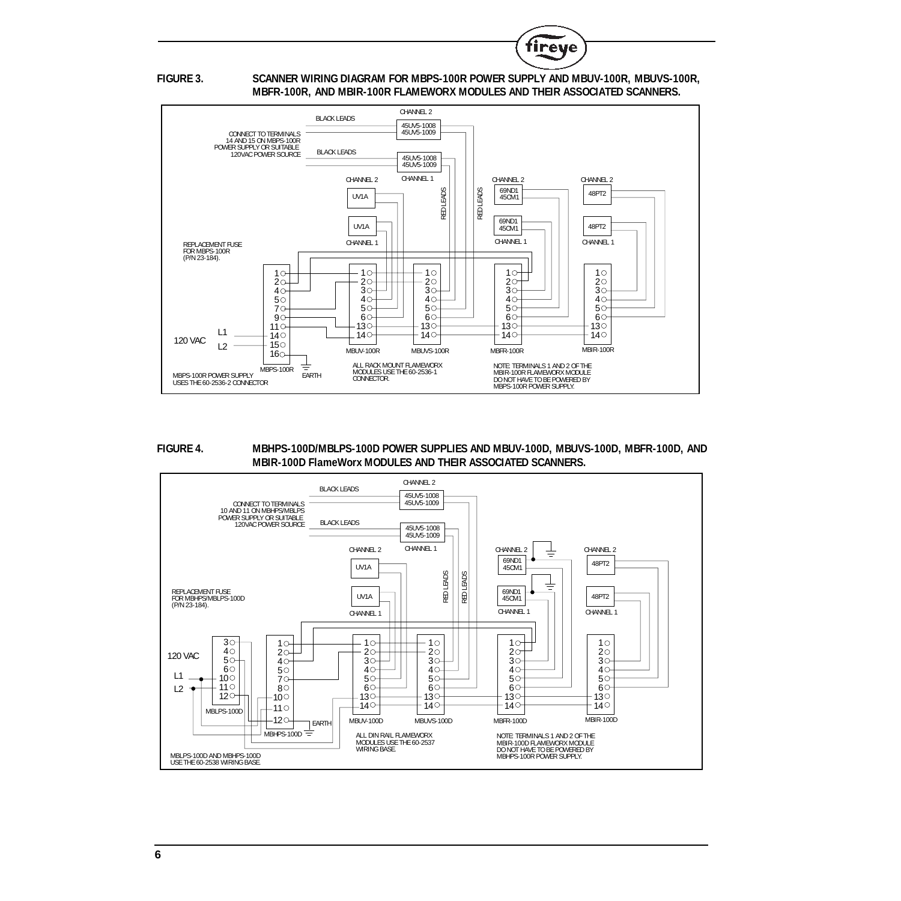

## **FIGURE 3. SCANNER WIRING DIAGRAM FOR MBPS-100R POWER SUPPLY AND MBUV-100R, MBUVS-100R, MBFR-100R, AND MBIR-100R FLAMEWORX MODULES AND THEIR ASSOCIATED SCANNERS.**



## **FIGURE 4. MBHPS-100D/MBLPS-100D POWER SUPPLIES AND MBUV-100D, MBUVS-100D, MBFR-100D, AND MBIR-100D FlameWorx MODULES AND THEIR ASSOCIATED SCANNERS.**

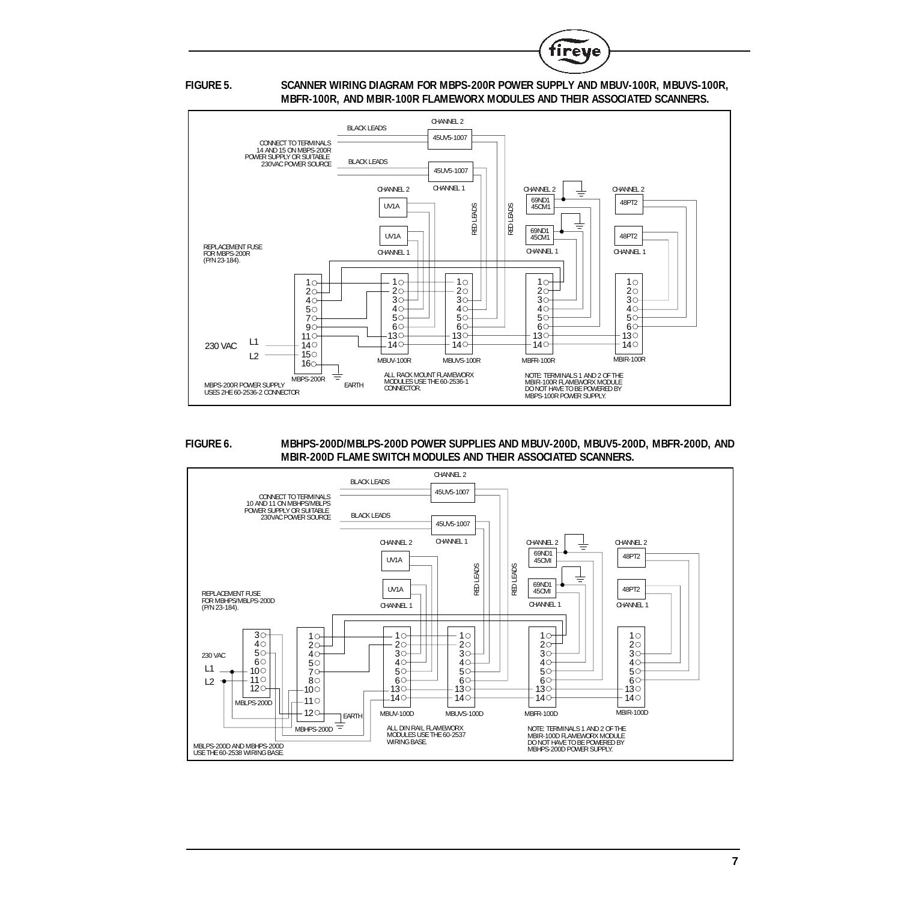

**FIGURE 5. SCANNER WIRING DIAGRAM FOR MBPS-200R POWER SUPPLY AND MBUV-100R, MBUVS-100R, MBFR-100R, AND MBIR-100R FLAMEWORX MODULES AND THEIR ASSOCIATED SCANNERS.**



### **FIGURE 6. MBHPS-200D/MBLPS-200D POWER SUPPLIES AND MBUV-200D, MBUV5-200D, MBFR-200D, AND MBIR-200D FLAME SWITCH MODULES AND THEIR ASSOCIATED SCANNERS.**